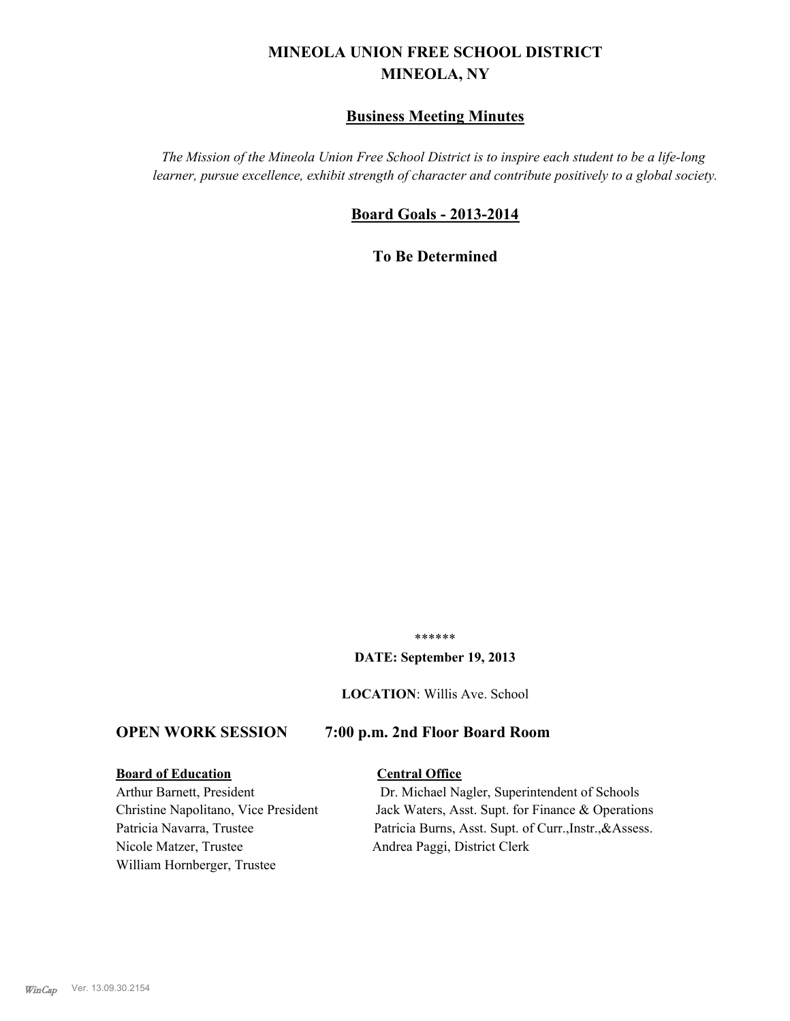# **MINEOLA UNION FREE SCHOOL DISTRICT MINEOLA, NY**

# **Business Meeting Minutes**

*The Mission of the Mineola Union Free School District is to inspire each student to be a life-long learner, pursue excellence, exhibit strength of character and contribute positively to a global society.*

# **Board Goals - 2013-2014**

**To Be Determined**

\*\*\*\*\*\*

#### **DATE: September 19, 2013**

**LOCATION**: Willis Ave. School

# **OPEN WORK SESSION 7:00 p.m. 2nd Floor Board Room**

#### **Board of Education Central Office**

Nicole Matzer, Trustee Andrea Paggi, District Clerk William Hornberger, Trustee

Arthur Barnett, President Dr. Michael Nagler, Superintendent of Schools Christine Napolitano, Vice President Jack Waters, Asst. Supt. for Finance & Operations Patricia Navarra, Trustee Patricia Burns, Asst. Supt. of Curr., Instr., &Assess.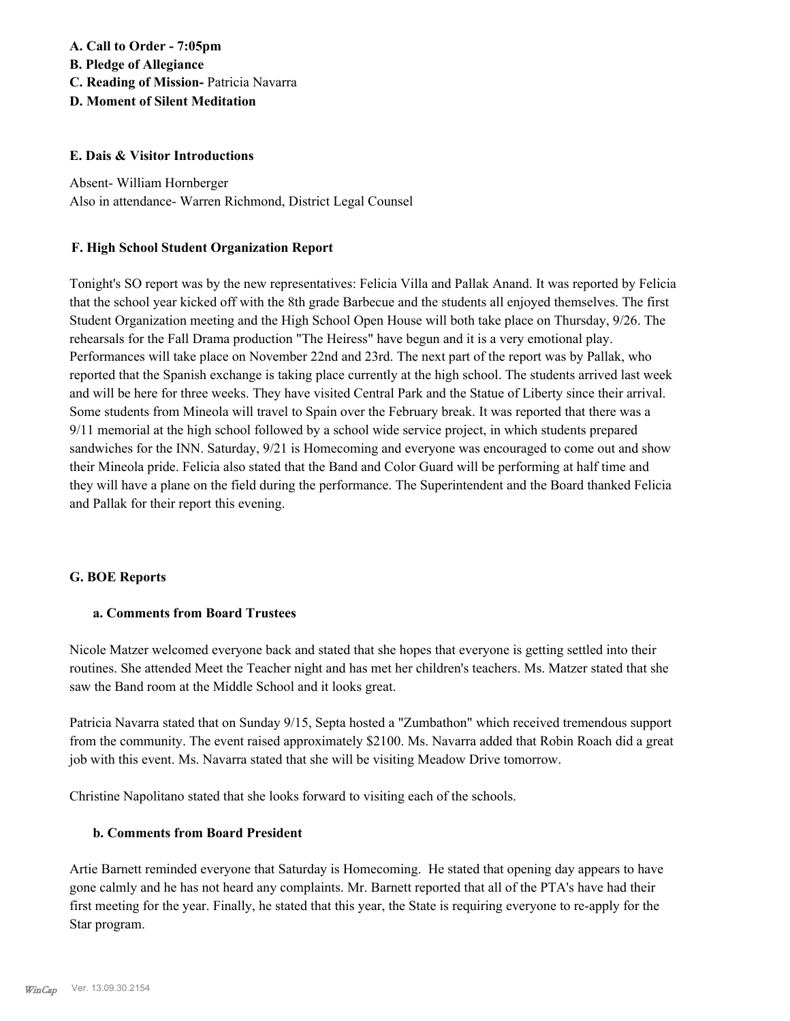# **A. Call to Order - 7:05pm B. Pledge of Allegiance C. Reading of Mission-** Patricia Navarra **D. Moment of Silent Meditation**

## **E. Dais & Visitor Introductions**

Absent- William Hornberger Also in attendance- Warren Richmond, District Legal Counsel

## **F. High School Student Organization Report**

Tonight's SO report was by the new representatives: Felicia Villa and Pallak Anand. It was reported by Felicia that the school year kicked off with the 8th grade Barbecue and the students all enjoyed themselves. The first Student Organization meeting and the High School Open House will both take place on Thursday, 9/26. The rehearsals for the Fall Drama production "The Heiress" have begun and it is a very emotional play. Performances will take place on November 22nd and 23rd. The next part of the report was by Pallak, who reported that the Spanish exchange is taking place currently at the high school. The students arrived last week and will be here for three weeks. They have visited Central Park and the Statue of Liberty since their arrival. Some students from Mineola will travel to Spain over the February break. It was reported that there was a 9/11 memorial at the high school followed by a school wide service project, in which students prepared sandwiches for the INN. Saturday, 9/21 is Homecoming and everyone was encouraged to come out and show their Mineola pride. Felicia also stated that the Band and Color Guard will be performing at half time and they will have a plane on the field during the performance. The Superintendent and the Board thanked Felicia and Pallak for their report this evening.

#### **G. BOE Reports**

#### **a. Comments from Board Trustees**

Nicole Matzer welcomed everyone back and stated that she hopes that everyone is getting settled into their routines. She attended Meet the Teacher night and has met her children's teachers. Ms. Matzer stated that she saw the Band room at the Middle School and it looks great.

Patricia Navarra stated that on Sunday 9/15, Septa hosted a "Zumbathon" which received tremendous support from the community. The event raised approximately \$2100. Ms. Navarra added that Robin Roach did a great job with this event. Ms. Navarra stated that she will be visiting Meadow Drive tomorrow.

Christine Napolitano stated that she looks forward to visiting each of the schools.

#### **b. Comments from Board President**

Artie Barnett reminded everyone that Saturday is Homecoming. He stated that opening day appears to have gone calmly and he has not heard any complaints. Mr. Barnett reported that all of the PTA's have had their first meeting for the year. Finally, he stated that this year, the State is requiring everyone to re-apply for the Star program.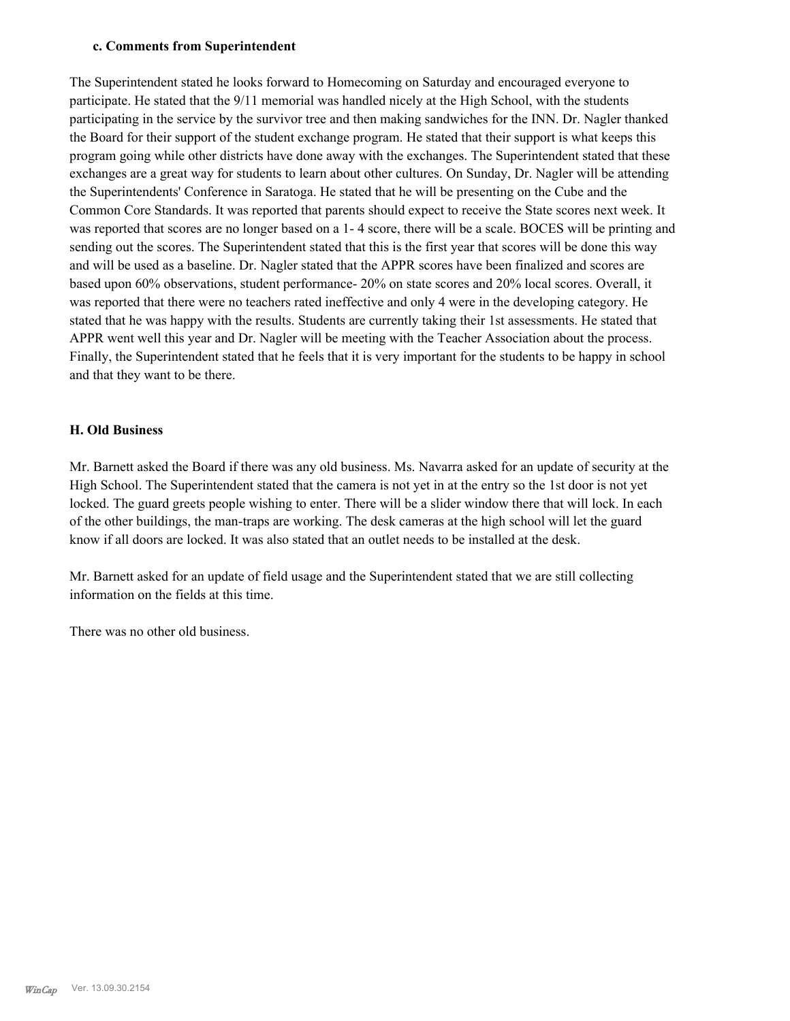#### **c. Comments from Superintendent**

The Superintendent stated he looks forward to Homecoming on Saturday and encouraged everyone to participate. He stated that the 9/11 memorial was handled nicely at the High School, with the students participating in the service by the survivor tree and then making sandwiches for the INN. Dr. Nagler thanked the Board for their support of the student exchange program. He stated that their support is what keeps this program going while other districts have done away with the exchanges. The Superintendent stated that these exchanges are a great way for students to learn about other cultures. On Sunday, Dr. Nagler will be attending the Superintendents' Conference in Saratoga. He stated that he will be presenting on the Cube and the Common Core Standards. It was reported that parents should expect to receive the State scores next week. It was reported that scores are no longer based on a 1- 4 score, there will be a scale. BOCES will be printing and sending out the scores. The Superintendent stated that this is the first year that scores will be done this way and will be used as a baseline. Dr. Nagler stated that the APPR scores have been finalized and scores are based upon 60% observations, student performance- 20% on state scores and 20% local scores. Overall, it was reported that there were no teachers rated ineffective and only 4 were in the developing category. He stated that he was happy with the results. Students are currently taking their 1st assessments. He stated that APPR went well this year and Dr. Nagler will be meeting with the Teacher Association about the process. Finally, the Superintendent stated that he feels that it is very important for the students to be happy in school and that they want to be there.

## **H. Old Business**

Mr. Barnett asked the Board if there was any old business. Ms. Navarra asked for an update of security at the High School. The Superintendent stated that the camera is not yet in at the entry so the 1st door is not yet locked. The guard greets people wishing to enter. There will be a slider window there that will lock. In each of the other buildings, the man-traps are working. The desk cameras at the high school will let the guard know if all doors are locked. It was also stated that an outlet needs to be installed at the desk.

Mr. Barnett asked for an update of field usage and the Superintendent stated that we are still collecting information on the fields at this time.

There was no other old business.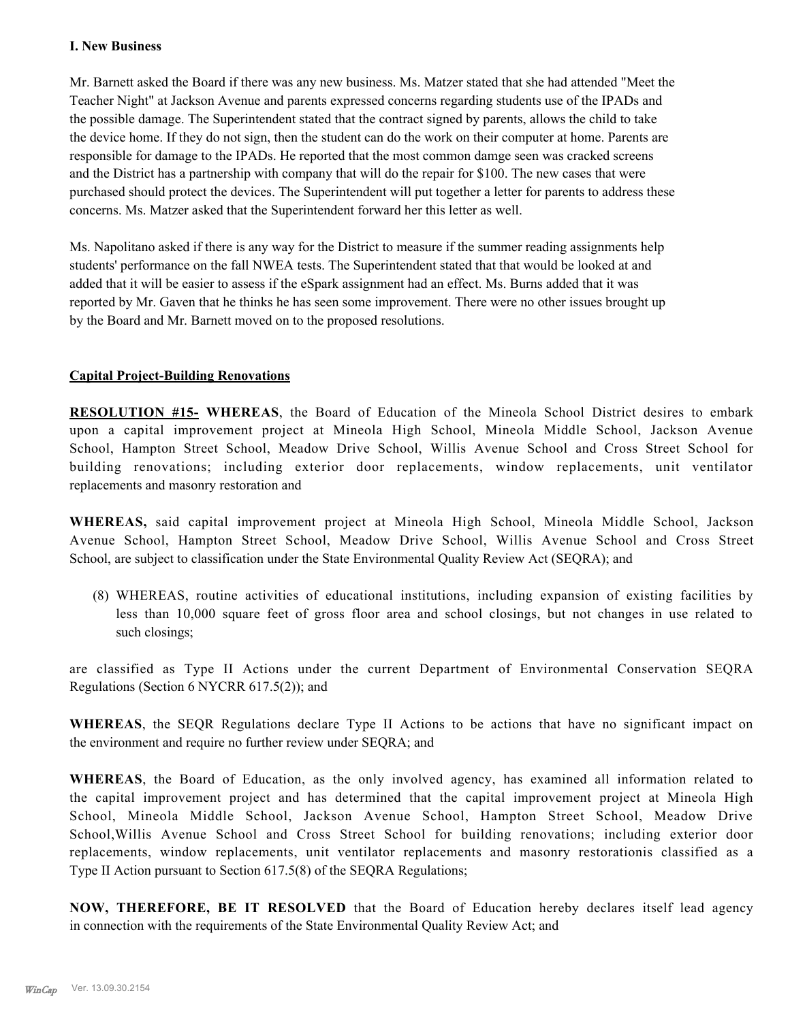## **I. New Business**

Mr. Barnett asked the Board if there was any new business. Ms. Matzer stated that she had attended "Meet the Teacher Night" at Jackson Avenue and parents expressed concerns regarding students use of the IPADs and the possible damage. The Superintendent stated that the contract signed by parents, allows the child to take the device home. If they do not sign, then the student can do the work on their computer at home. Parents are responsible for damage to the IPADs. He reported that the most common damge seen was cracked screens and the District has a partnership with company that will do the repair for \$100. The new cases that were purchased should protect the devices. The Superintendent will put together a letter for parents to address these concerns. Ms. Matzer asked that the Superintendent forward her this letter as well.

Ms. Napolitano asked if there is any way for the District to measure if the summer reading assignments help students' performance on the fall NWEA tests. The Superintendent stated that that would be looked at and added that it will be easier to assess if the eSpark assignment had an effect. Ms. Burns added that it was reported by Mr. Gaven that he thinks he has seen some improvement. There were no other issues brought up by the Board and Mr. Barnett moved on to the proposed resolutions.

# **Capital Project-Building Renovations**

**RESOLUTION #15- WHEREAS**, the Board of Education of the Mineola School District desires to embark upon a capital improvement project at Mineola High School, Mineola Middle School, Jackson Avenue School, Hampton Street School, Meadow Drive School, Willis Avenue School and Cross Street School for building renovations; including exterior door replacements, window replacements, unit ventilator replacements and masonry restoration and

**WHEREAS,** said capital improvement project at Mineola High School, Mineola Middle School, Jackson Avenue School, Hampton Street School, Meadow Drive School, Willis Avenue School and Cross Street School, are subject to classification under the State Environmental Quality Review Act (SEQRA); and

(8) WHEREAS, routine activities of educational institutions, including expansion of existing facilities by less than 10,000 square feet of gross floor area and school closings, but not changes in use related to such closings;

are classified as Type II Actions under the current Department of Environmental Conservation SEQRA Regulations (Section 6 NYCRR 617.5(2)); and

**WHEREAS**, the SEQR Regulations declare Type II Actions to be actions that have no significant impact on the environment and require no further review under SEQRA; and

**WHEREAS**, the Board of Education, as the only involved agency, has examined all information related to the capital improvement project and has determined that the capital improvement project at Mineola High School, Mineola Middle School, Jackson Avenue School, Hampton Street School, Meadow Drive School,Willis Avenue School and Cross Street School for building renovations; including exterior door replacements, window replacements, unit ventilator replacements and masonry restorationis classified as a Type II Action pursuant to Section 617.5(8) of the SEQRA Regulations;

**NOW, THEREFORE, BE IT RESOLVED** that the Board of Education hereby declares itself lead agency in connection with the requirements of the State Environmental Quality Review Act; and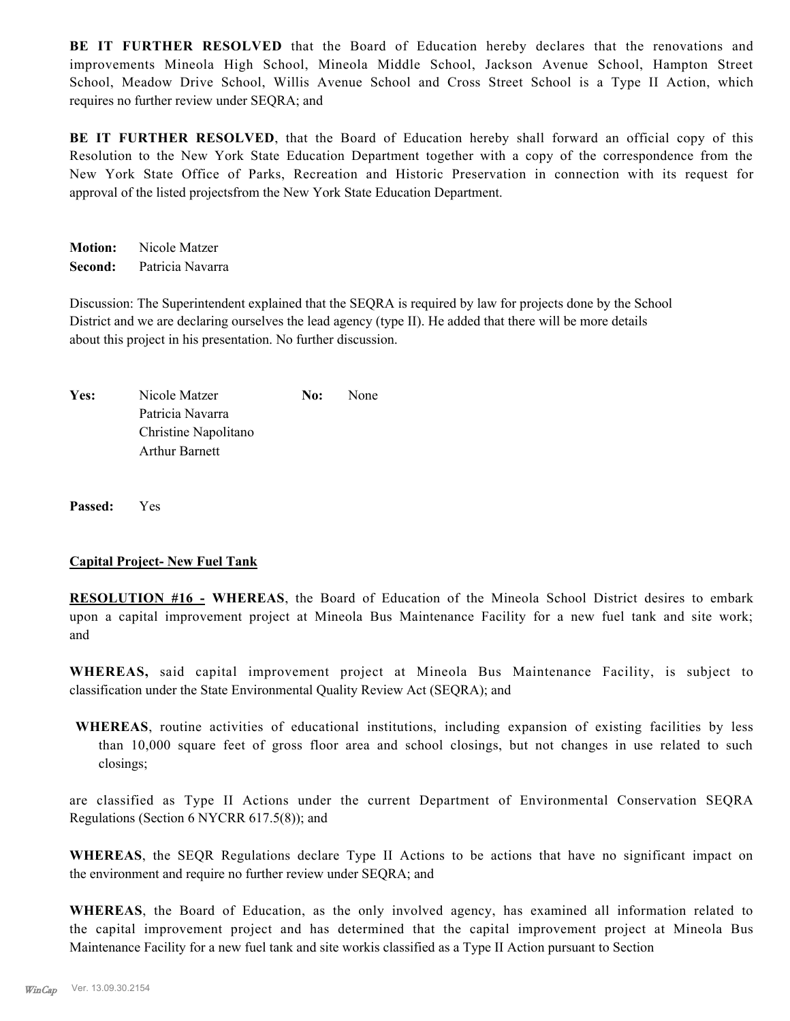**BE IT FURTHER RESOLVED** that the Board of Education hereby declares that the renovations and improvements Mineola High School, Mineola Middle School, Jackson Avenue School, Hampton Street School, Meadow Drive School, Willis Avenue School and Cross Street School is a Type II Action, which requires no further review under SEQRA; and

**BE IT FURTHER RESOLVED**, that the Board of Education hereby shall forward an official copy of this Resolution to the New York State Education Department together with a copy of the correspondence from the New York State Office of Parks, Recreation and Historic Preservation in connection with its request for approval of the listed projectsfrom the New York State Education Department.

**Motion:** Nicole Matzer **Second:** Patricia Navarra

Discussion: The Superintendent explained that the SEQRA is required by law for projects done by the School District and we are declaring ourselves the lead agency (type II). He added that there will be more details about this project in his presentation. No further discussion.

| Yes: | Nicole Matzer         | No: | None |
|------|-----------------------|-----|------|
|      | Patricia Navarra      |     |      |
|      | Christine Napolitano  |     |      |
|      | <b>Arthur Barnett</b> |     |      |

**Passed:** Yes

#### **Capital Project- New Fuel Tank**

**RESOLUTION #16 - WHEREAS**, the Board of Education of the Mineola School District desires to embark upon a capital improvement project at Mineola Bus Maintenance Facility for a new fuel tank and site work; and

**WHEREAS,** said capital improvement project at Mineola Bus Maintenance Facility, is subject to classification under the State Environmental Quality Review Act (SEQRA); and

**WHEREAS**, routine activities of educational institutions, including expansion of existing facilities by less than 10,000 square feet of gross floor area and school closings, but not changes in use related to such closings;

are classified as Type II Actions under the current Department of Environmental Conservation SEQRA Regulations (Section 6 NYCRR 617.5(8)); and

**WHEREAS**, the SEQR Regulations declare Type II Actions to be actions that have no significant impact on the environment and require no further review under SEQRA; and

**WHEREAS**, the Board of Education, as the only involved agency, has examined all information related to the capital improvement project and has determined that the capital improvement project at Mineola Bus Maintenance Facility for a new fuel tank and site workis classified as a Type II Action pursuant to Section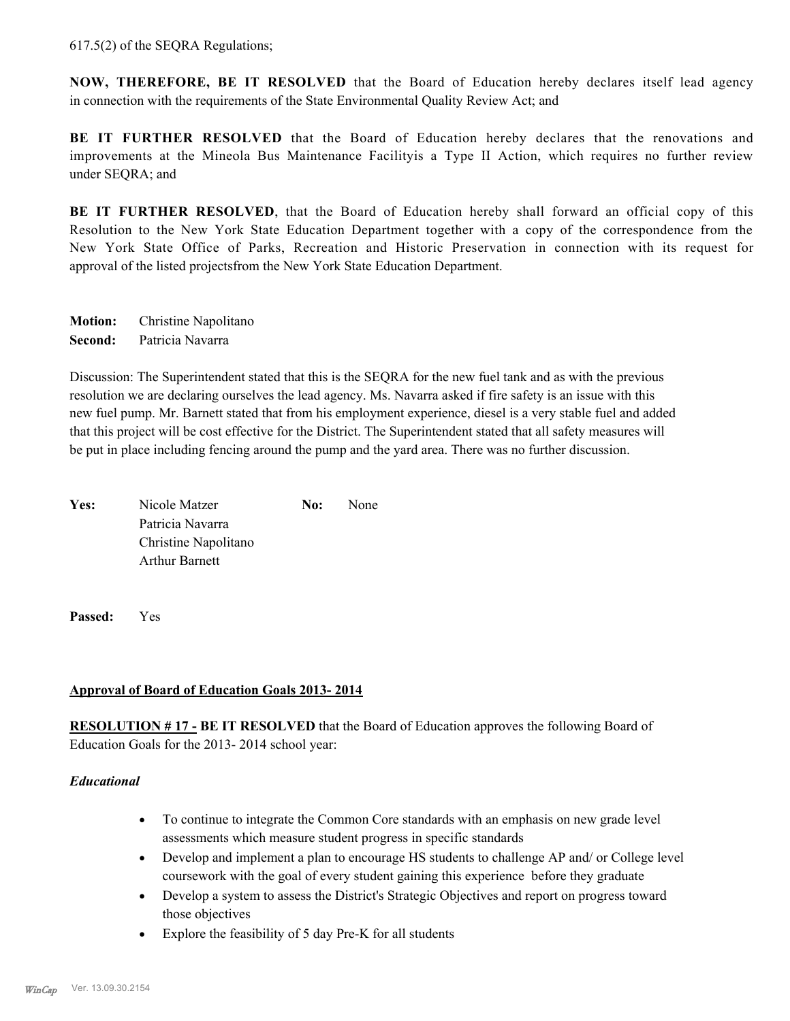617.5(2) of the SEQRA Regulations;

**NOW, THEREFORE, BE IT RESOLVED** that the Board of Education hereby declares itself lead agency in connection with the requirements of the State Environmental Quality Review Act; and

**BE IT FURTHER RESOLVED** that the Board of Education hereby declares that the renovations and improvements at the Mineola Bus Maintenance Facilityis a Type II Action, which requires no further review under SEQRA; and

**BE IT FURTHER RESOLVED**, that the Board of Education hereby shall forward an official copy of this Resolution to the New York State Education Department together with a copy of the correspondence from the New York State Office of Parks, Recreation and Historic Preservation in connection with its request for approval of the listed projectsfrom the New York State Education Department.

**Motion:** Christine Napolitano **Second:** Patricia Navarra

Discussion: The Superintendent stated that this is the SEQRA for the new fuel tank and as with the previous resolution we are declaring ourselves the lead agency. Ms. Navarra asked if fire safety is an issue with this new fuel pump. Mr. Barnett stated that from his employment experience, diesel is a very stable fuel and added that this project will be cost effective for the District. The Superintendent stated that all safety measures will be put in place including fencing around the pump and the yard area. There was no further discussion.

**Yes:** Nicole Matzer **No:** None Patricia Navarra Christine Napolitano Arthur Barnett

**Passed:** Yes

# **Approval of Board of Education Goals 2013- 2014**

**RESOLUTION # 17 - BE IT RESOLVED** that the Board of Education approves the following Board of Education Goals for the 2013- 2014 school year:

# *Educational*

- · To continue to integrate the Common Core standards with an emphasis on new grade level assessments which measure student progress in specific standards
- · Develop and implement a plan to encourage HS students to challenge AP and/ or College level coursework with the goal of every student gaining this experience before they graduate
- · Develop a system to assess the District's Strategic Objectives and report on progress toward those objectives
- · Explore the feasibility of 5 day Pre-K for all students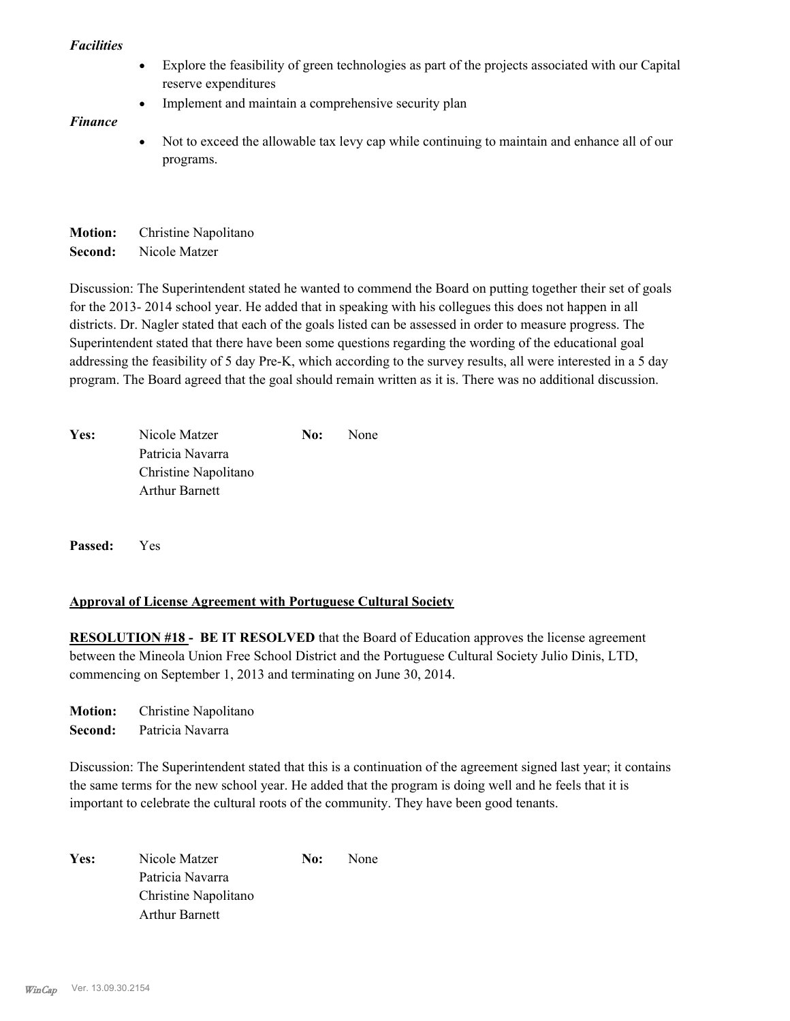#### *Facilities*

- · Explore the feasibility of green technologies as part of the projects associated with our Capital reserve expenditures
- · Implement and maintain a comprehensive security plan

# *Finance*

· Not to exceed the allowable tax levy cap while continuing to maintain and enhance all of our programs.

**Motion:** Christine Napolitano **Second:** Nicole Matzer

Discussion: The Superintendent stated he wanted to commend the Board on putting together their set of goals for the 2013- 2014 school year. He added that in speaking with his collegues this does not happen in all districts. Dr. Nagler stated that each of the goals listed can be assessed in order to measure progress. The Superintendent stated that there have been some questions regarding the wording of the educational goal addressing the feasibility of 5 day Pre-K, which according to the survey results, all were interested in a 5 day program. The Board agreed that the goal should remain written as it is. There was no additional discussion.

| Yes: | Nicole Matzer        | No: | None |
|------|----------------------|-----|------|
|      | Patricia Navarra     |     |      |
|      | Christine Napolitano |     |      |
|      | Arthur Barnett       |     |      |

**Passed:** Yes

# **Approval of License Agreement with Portuguese Cultural Society**

**RESOLUTION #18 - BE IT RESOLVED** that the Board of Education approves the license agreement between the Mineola Union Free School District and the Portuguese Cultural Society Julio Dinis, LTD, commencing on September 1, 2013 and terminating on June 30, 2014.

**Motion:** Christine Napolitano

**Second:** Patricia Navarra

Discussion: The Superintendent stated that this is a continuation of the agreement signed last year; it contains the same terms for the new school year. He added that the program is doing well and he feels that it is important to celebrate the cultural roots of the community. They have been good tenants.

Yes: Nicole Matzer **No:** None Patricia Navarra Christine Napolitano Arthur Barnett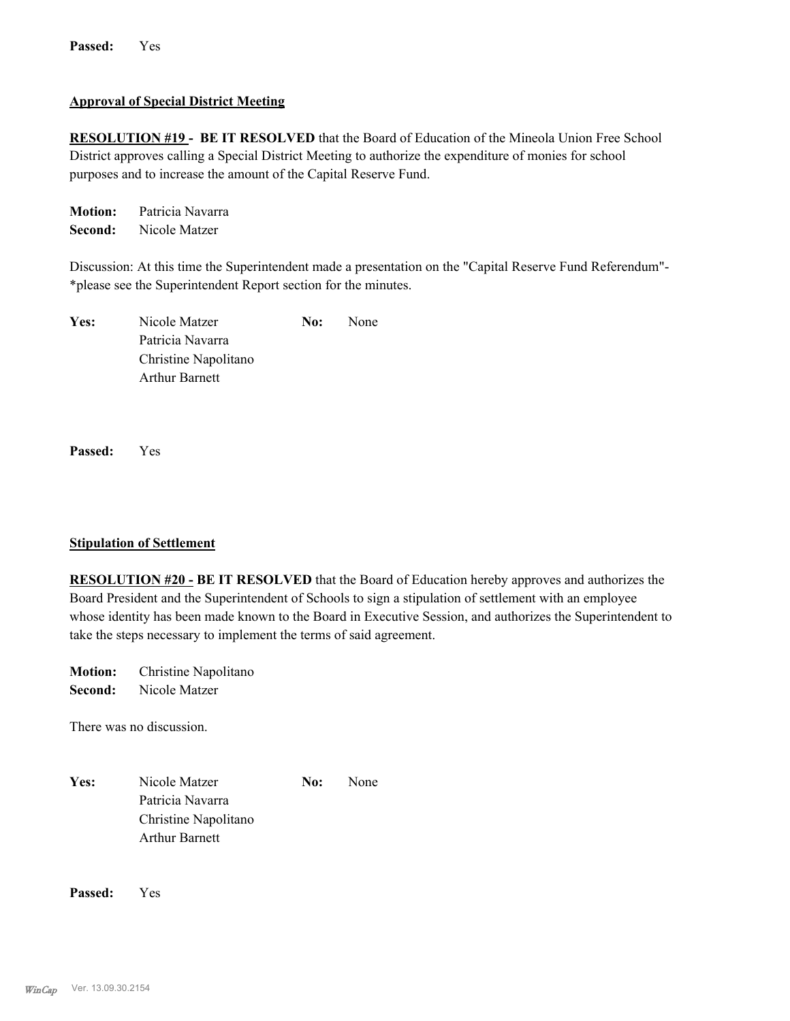## **Approval of Special District Meeting**

**RESOLUTION #19 - BE IT RESOLVED** that the Board of Education of the Mineola Union Free School District approves calling a Special District Meeting to authorize the expenditure of monies for school purposes and to increase the amount of the Capital Reserve Fund.

**Motion:** Patricia Navarra **Second:** Nicole Matzer

Discussion: At this time the Superintendent made a presentation on the "Capital Reserve Fund Referendum"- \*please see the Superintendent Report section for the minutes.

| Yes: | Nicole Matzer         | No: | <b>None</b> |
|------|-----------------------|-----|-------------|
|      | Patricia Navarra      |     |             |
|      | Christine Napolitano  |     |             |
|      | <b>Arthur Barnett</b> |     |             |

**Passed:** Yes

#### **Stipulation of Settlement**

**RESOLUTION #20 - BE IT RESOLVED** that the Board of Education hereby approves and authorizes the Board President and the Superintendent of Schools to sign a stipulation of settlement with an employee whose identity has been made known to the Board in Executive Session, and authorizes the Superintendent to take the steps necessary to implement the terms of said agreement.

**Motion:** Christine Napolitano **Second:** Nicole Matzer

There was no discussion.

| Yes: | Nicole Matzer         | No: | <b>None</b> |
|------|-----------------------|-----|-------------|
|      | Patricia Navarra      |     |             |
|      | Christine Napolitano  |     |             |
|      | <b>Arthur Barnett</b> |     |             |

**Passed:** Yes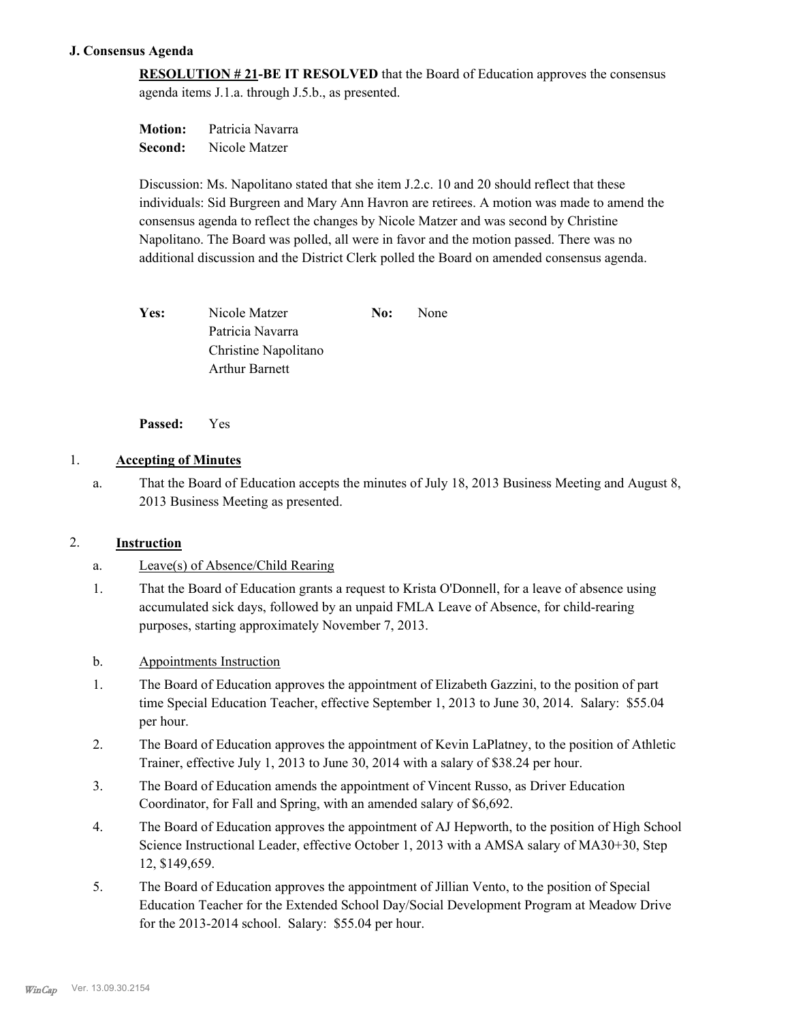# **J. Consensus Agenda**

**RESOLUTION # 21-BE IT RESOLVED** that the Board of Education approves the consensus agenda items J.1.a. through J.5.b., as presented.

**Motion:** Patricia Navarra **Second:** Nicole Matzer

Discussion: Ms. Napolitano stated that she item J.2.c. 10 and 20 should reflect that these individuals: Sid Burgreen and Mary Ann Havron are retirees. A motion was made to amend the consensus agenda to reflect the changes by Nicole Matzer and was second by Christine Napolitano. The Board was polled, all were in favor and the motion passed. There was no additional discussion and the District Clerk polled the Board on amended consensus agenda.

Yes: Nicole Matzer **No:** None Patricia Navarra Christine Napolitano Arthur Barnett

**Passed:** Yes

# 1. **Accepting of Minutes**

That the Board of Education accepts the minutes of July 18, 2013 Business Meeting and August 8, 2013 Business Meeting as presented. a.

# 2. **Instruction**

- a. Leave(s) of Absence/Child Rearing
- That the Board of Education grants a request to Krista O'Donnell, for a leave of absence using accumulated sick days, followed by an unpaid FMLA Leave of Absence, for child-rearing purposes, starting approximately November 7, 2013. 1.
- b. Appointments Instruction
- The Board of Education approves the appointment of Elizabeth Gazzini, to the position of part time Special Education Teacher, effective September 1, 2013 to June 30, 2014. Salary: \$55.04 per hour. 1.
- The Board of Education approves the appointment of Kevin LaPlatney, to the position of Athletic Trainer, effective July 1, 2013 to June 30, 2014 with a salary of \$38.24 per hour. 2.
- The Board of Education amends the appointment of Vincent Russo, as Driver Education Coordinator, for Fall and Spring, with an amended salary of \$6,692. 3.
- The Board of Education approves the appointment of AJ Hepworth, to the position of High School Science Instructional Leader, effective October 1, 2013 with a AMSA salary of MA30+30, Step 12, \$149,659. 4.
- The Board of Education approves the appointment of Jillian Vento, to the position of Special Education Teacher for the Extended School Day/Social Development Program at Meadow Drive for the 2013-2014 school. Salary: \$55.04 per hour. 5.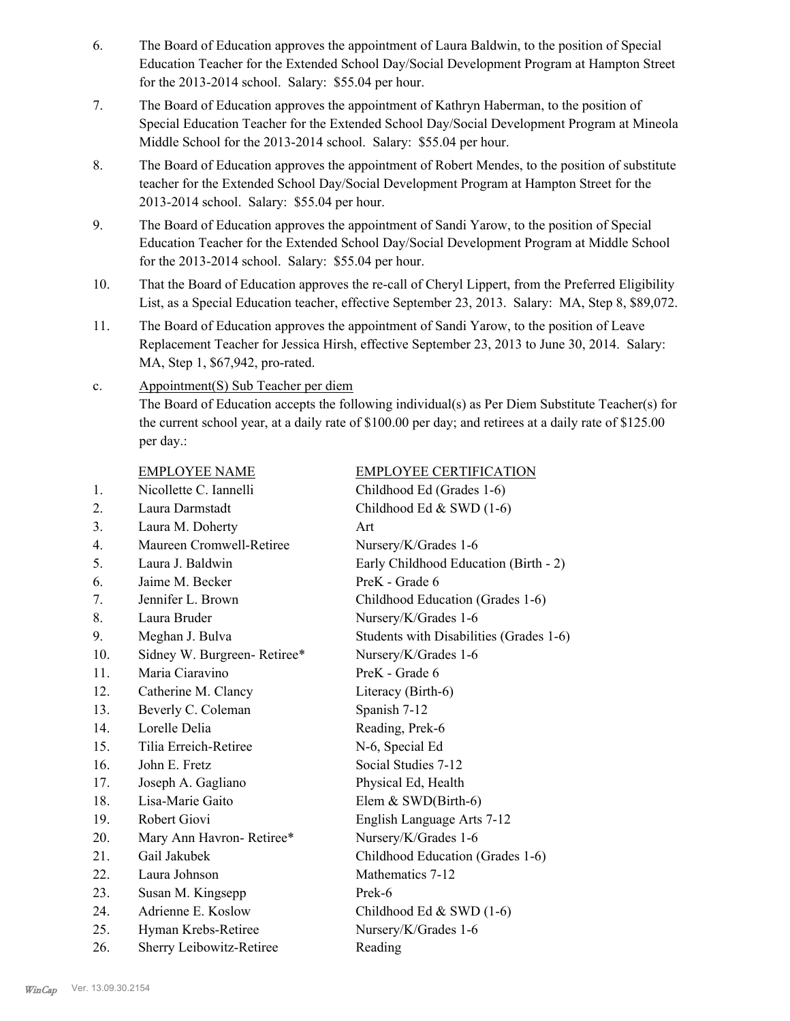- The Board of Education approves the appointment of Laura Baldwin, to the position of Special Education Teacher for the Extended School Day/Social Development Program at Hampton Street for the 2013-2014 school. Salary: \$55.04 per hour. 6.
- The Board of Education approves the appointment of Kathryn Haberman, to the position of Special Education Teacher for the Extended School Day/Social Development Program at Mineola Middle School for the 2013-2014 school. Salary: \$55.04 per hour. 7.
- The Board of Education approves the appointment of Robert Mendes, to the position of substitute teacher for the Extended School Day/Social Development Program at Hampton Street for the 2013-2014 school. Salary: \$55.04 per hour. 8.
- The Board of Education approves the appointment of Sandi Yarow, to the position of Special Education Teacher for the Extended School Day/Social Development Program at Middle School for the 2013-2014 school. Salary: \$55.04 per hour. 9.
- That the Board of Education approves the re-call of Cheryl Lippert, from the Preferred Eligibility List, as a Special Education teacher, effective September 23, 2013. Salary: MA, Step 8, \$89,072. 10.
- The Board of Education approves the appointment of Sandi Yarow, to the position of Leave Replacement Teacher for Jessica Hirsh, effective September 23, 2013 to June 30, 2014. Salary: MA, Step 1, \$67,942, pro-rated. 11.

#### Appointment(S) Sub Teacher per diem c.

The Board of Education accepts the following individual(s) as Per Diem Substitute Teacher(s) for the current school year, at a daily rate of \$100.00 per day; and retirees at a daily rate of \$125.00 per day.:

|                 | <b>EMPLOYEE NAME</b>        | <b>EMPLOYEE CERTIFICATION</b>           |
|-----------------|-----------------------------|-----------------------------------------|
| 1.              | Nicollette C. Iannelli      | Childhood Ed (Grades 1-6)               |
| 2.              | Laura Darmstadt             | Childhood Ed & SWD (1-6)                |
| 3 <sub>1</sub>  | Laura M. Doherty            | Art                                     |
| 4.              | Maureen Cromwell-Retiree    | Nursery/K/Grades 1-6                    |
| 5.              | Laura J. Baldwin            | Early Childhood Education (Birth - 2)   |
| 6.              | Jaime M. Becker             | PreK - Grade 6                          |
| 7.              | Jennifer L. Brown           | Childhood Education (Grades 1-6)        |
| 8.              | Laura Bruder                | Nursery/K/Grades 1-6                    |
| 9.              | Meghan J. Bulva             | Students with Disabilities (Grades 1-6) |
| 10.             | Sidney W. Burgreen-Retiree* | Nursery/K/Grades 1-6                    |
| 11.             | Maria Ciaravino             | PreK - Grade 6                          |
| 12.             | Catherine M. Clancy         | Literacy (Birth-6)                      |
| 13.             | Beverly C. Coleman          | Spanish 7-12                            |
| 14.             | Lorelle Delia               | Reading, Prek-6                         |
| 15 <sub>1</sub> | Tilia Erreich-Retiree       | N-6, Special Ed                         |
| 16.             | John E. Fretz               | Social Studies 7-12                     |
| 17.             | Joseph A. Gagliano          | Physical Ed, Health                     |
| 18.             | Lisa-Marie Gaito            | Elem $&$ SWD(Birth-6)                   |
| 19.             | Robert Giovi                | English Language Arts 7-12              |
| 20.             | Mary Ann Havron-Retiree*    | Nursery/K/Grades 1-6                    |
| 21.             | Gail Jakubek                | Childhood Education (Grades 1-6)        |
| 22.             | Laura Johnson               | Mathematics 7-12                        |
| 23.             | Susan M. Kingsepp           | Prek-6                                  |
| 24.             | Adrienne E. Koslow          | Childhood Ed $&$ SWD (1-6)              |
| 25.             | Hyman Krebs-Retiree         | Nursery/K/Grades 1-6                    |
| 26.             | Sherry Leibowitz-Retiree    | Reading                                 |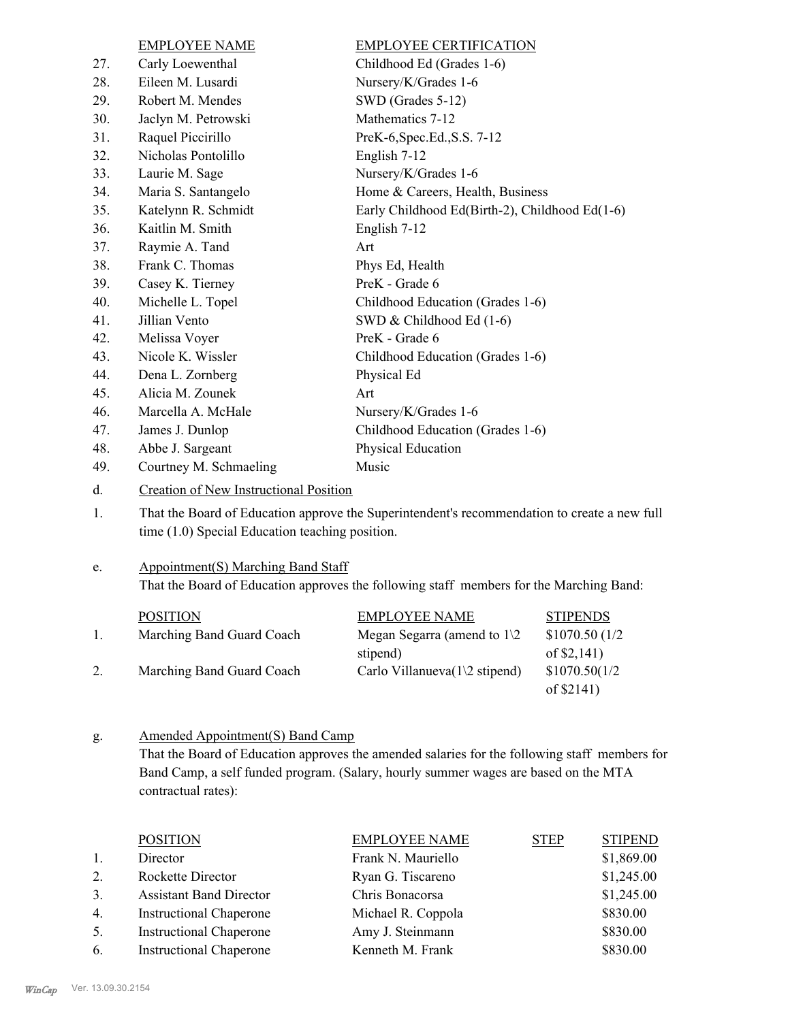|     | <b>EMPLOYEE NAME</b>   | <b>EMPLOYEE CERTIFICATION</b>                  |
|-----|------------------------|------------------------------------------------|
| 27. | Carly Loewenthal       | Childhood Ed (Grades 1-6)                      |
| 28. | Eileen M. Lusardi      | Nursery/K/Grades 1-6                           |
| 29. | Robert M. Mendes       | SWD (Grades 5-12)                              |
| 30. | Jaclyn M. Petrowski    | Mathematics 7-12                               |
| 31. | Raquel Piccirillo      | PreK-6, Spec. Ed., S.S. 7-12                   |
| 32. | Nicholas Pontolillo    | English 7-12                                   |
| 33. | Laurie M. Sage         | Nursery/K/Grades 1-6                           |
| 34. | Maria S. Santangelo    | Home & Careers, Health, Business               |
| 35. | Katelynn R. Schmidt    | Early Childhood Ed(Birth-2), Childhood Ed(1-6) |
| 36. | Kaitlin M. Smith       | English 7-12                                   |
| 37. | Raymie A. Tand         | Art                                            |
| 38. | Frank C. Thomas        | Phys Ed, Health                                |
| 39. | Casey K. Tierney       | PreK - Grade 6                                 |
| 40. | Michelle L. Topel      | Childhood Education (Grades 1-6)               |
| 41. | Jillian Vento          | SWD & Childhood Ed (1-6)                       |
| 42. | Melissa Voyer          | PreK - Grade 6                                 |
| 43. | Nicole K. Wissler      | Childhood Education (Grades 1-6)               |
| 44. | Dena L. Zornberg       | Physical Ed                                    |
| 45. | Alicia M. Zounek       | Art                                            |
| 46. | Marcella A. McHale     | Nursery/K/Grades 1-6                           |
| 47. | James J. Dunlop        | Childhood Education (Grades 1-6)               |
| 48. | Abbe J. Sargeant       | Physical Education                             |
| 49. | Courtney M. Schmaeling | Music                                          |

d. Creation of New Instructional Position

That the Board of Education approve the Superintendent's recommendation to create a new full time (1.0) Special Education teaching position. 1.

#### Appointment(S) Marching Band Staff e.

That the Board of Education approves the following staff members for the Marching Band:

| <b>POSITION</b>           | <b>EMPLOYEE NAME</b>                   | <b>STIPENDS</b> |
|---------------------------|----------------------------------------|-----------------|
| Marching Band Guard Coach | Megan Segarra (amend to $1\sqrt{2}$    | \$1070.50(1/2)  |
|                           | stipend)                               | of $$2,141$ )   |
| Marching Band Guard Coach | Carlo Villanueva $(1\angle 2$ stipend) | \$1070.50(1/2)  |
|                           |                                        | of $$2141)$     |

#### Amended Appointment(S) Band Camp g.

That the Board of Education approves the amended salaries for the following staff members for Band Camp, a self funded program. (Salary, hourly summer wages are based on the MTA contractual rates):

|    | <b>POSITION</b>                | <b>EMPLOYEE NAME</b> | <b>STEP</b> | <b>STIPEND</b> |
|----|--------------------------------|----------------------|-------------|----------------|
| 1. | Director                       | Frank N. Mauriello   |             | \$1,869.00     |
| 2. | Rockette Director              | Ryan G. Tiscareno    |             | \$1,245.00     |
| 3. | <b>Assistant Band Director</b> | Chris Bonacorsa      |             | \$1,245.00     |
| 4. | <b>Instructional Chaperone</b> | Michael R. Coppola   |             | \$830.00       |
| 5. | <b>Instructional Chaperone</b> | Amy J. Steinmann     |             | \$830.00       |
| 6. | <b>Instructional Chaperone</b> | Kenneth M. Frank     |             | \$830.00       |
|    |                                |                      |             |                |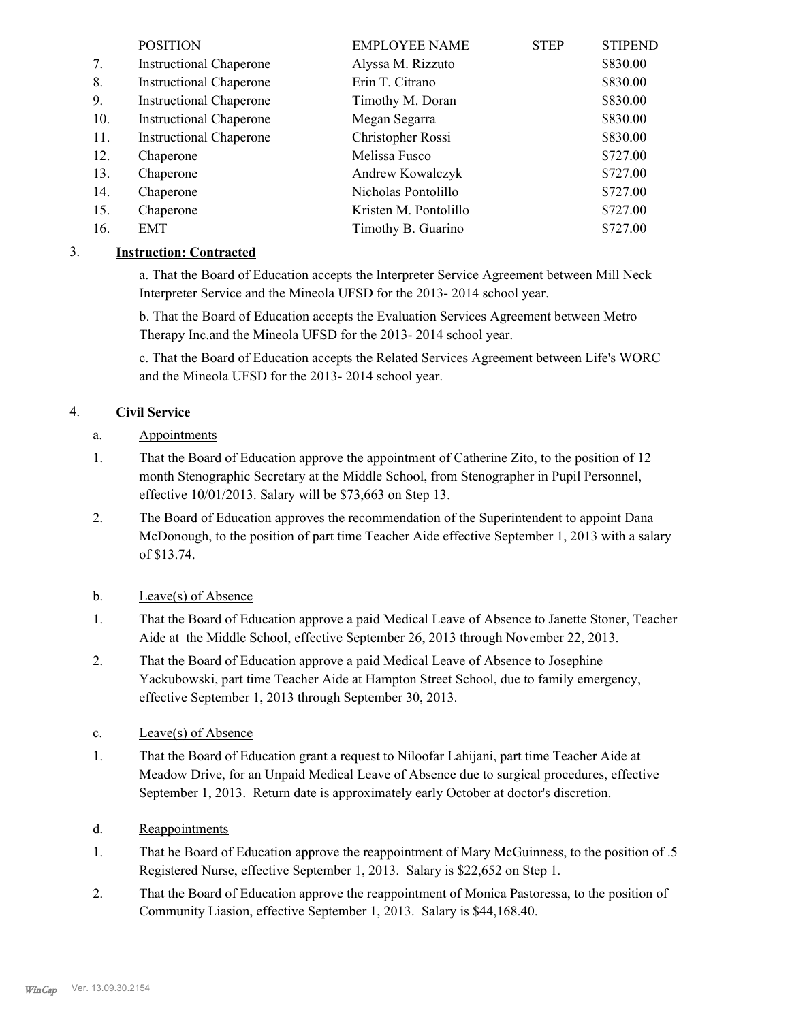|     | <b>POSITION</b>                | <b>EMPLOYEE NAME</b>  | <b>STEP</b> | <b>STIPEND</b> |
|-----|--------------------------------|-----------------------|-------------|----------------|
| 7.  | <b>Instructional Chaperone</b> | Alyssa M. Rizzuto     |             | \$830.00       |
| 8.  | <b>Instructional Chaperone</b> | Erin T. Citrano       |             | \$830.00       |
| 9.  | <b>Instructional Chaperone</b> | Timothy M. Doran      |             | \$830.00       |
| 10. | <b>Instructional Chaperone</b> | Megan Segarra         |             | \$830.00       |
| 11. | <b>Instructional Chaperone</b> | Christopher Rossi     |             | \$830.00       |
| 12. | Chaperone                      | Melissa Fusco         |             | \$727.00       |
| 13. | Chaperone                      | Andrew Kowalczyk      |             | \$727.00       |
| 14. | Chaperone                      | Nicholas Pontolillo   |             | \$727.00       |
| 15. | Chaperone                      | Kristen M. Pontolillo |             | \$727.00       |
| 16. | EMT                            | Timothy B. Guarino    |             | \$727.00       |

# 3. **Instruction: Contracted**

a. That the Board of Education accepts the Interpreter Service Agreement between Mill Neck Interpreter Service and the Mineola UFSD for the 2013- 2014 school year.

b. That the Board of Education accepts the Evaluation Services Agreement between Metro Therapy Inc.and the Mineola UFSD for the 2013- 2014 school year.

c. That the Board of Education accepts the Related Services Agreement between Life's WORC and the Mineola UFSD for the 2013- 2014 school year.

# 4. **Civil Service**

- a. Appointments
- That the Board of Education approve the appointment of Catherine Zito, to the position of 12 month Stenographic Secretary at the Middle School, from Stenographer in Pupil Personnel, effective 10/01/2013. Salary will be \$73,663 on Step 13. 1.
- The Board of Education approves the recommendation of the Superintendent to appoint Dana McDonough, to the position of part time Teacher Aide effective September 1, 2013 with a salary of \$13.74. 2.
- b. Leave(s) of Absence
- That the Board of Education approve a paid Medical Leave of Absence to Janette Stoner, Teacher Aide at the Middle School, effective September 26, 2013 through November 22, 2013. 1.
- That the Board of Education approve a paid Medical Leave of Absence to Josephine Yackubowski, part time Teacher Aide at Hampton Street School, due to family emergency, effective September 1, 2013 through September 30, 2013. 2.
- c. Leave(s) of Absence
- That the Board of Education grant a request to Niloofar Lahijani, part time Teacher Aide at Meadow Drive, for an Unpaid Medical Leave of Absence due to surgical procedures, effective September 1, 2013. Return date is approximately early October at doctor's discretion. 1.
- d. Reappointments
- That he Board of Education approve the reappointment of Mary McGuinness, to the position of .5 Registered Nurse, effective September 1, 2013. Salary is \$22,652 on Step 1. 1.
- That the Board of Education approve the reappointment of Monica Pastoressa, to the position of Community Liasion, effective September 1, 2013. Salary is \$44,168.40. 2.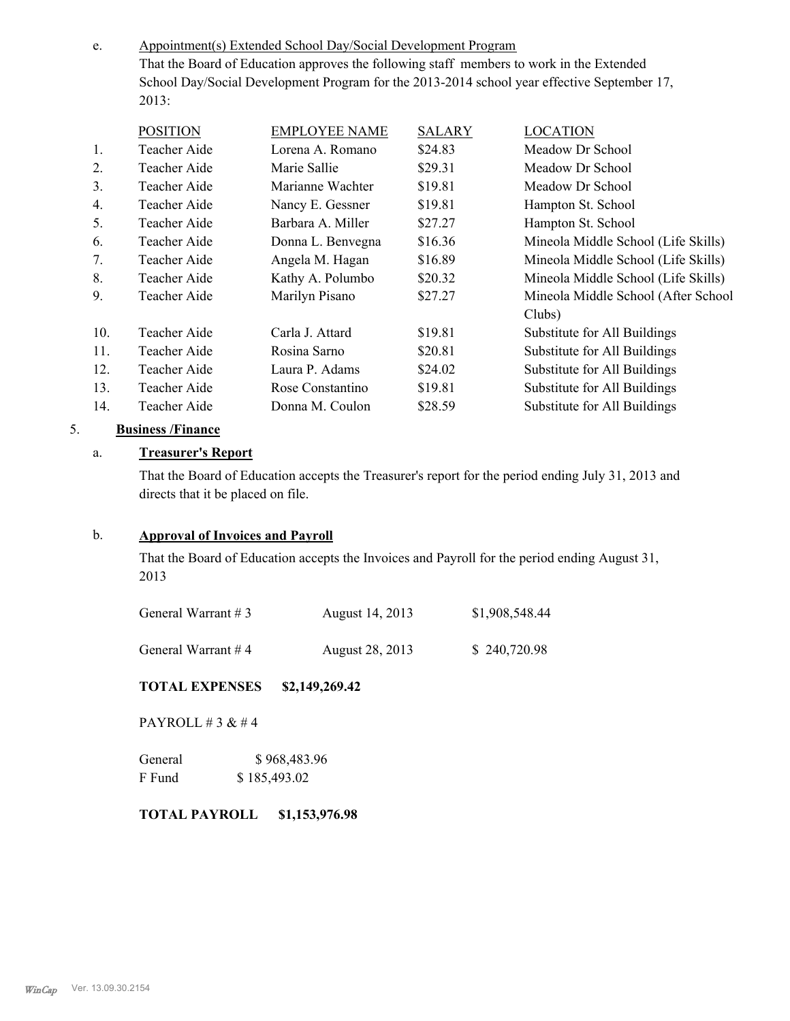Appointment(s) Extended School Day/Social Development Program That the Board of Education approves the following staff members to work in the Extended School Day/Social Development Program for the 2013-2014 school year effective September 17, 2013: e.

|                | <b>POSITION</b> | <b>EMPLOYEE NAME</b> | <b>SALARY</b> | <b>LOCATION</b>                     |
|----------------|-----------------|----------------------|---------------|-------------------------------------|
| $\mathbf{1}$ . | Teacher Aide    | Lorena A. Romano     | \$24.83       | Meadow Dr School                    |
| 2.             | Teacher Aide    | Marie Sallie         | \$29.31       | Meadow Dr School                    |
| 3 <sub>1</sub> | Teacher Aide    | Marianne Wachter     | \$19.81       | Meadow Dr School                    |
| 4.             | Teacher Aide    | Nancy E. Gessner     | \$19.81       | Hampton St. School                  |
| 5.             | Teacher Aide    | Barbara A. Miller    | \$27.27       | Hampton St. School                  |
| 6.             | Teacher Aide    | Donna L. Benvegna    | \$16.36       | Mineola Middle School (Life Skills) |
| 7.             | Teacher Aide    | Angela M. Hagan      | \$16.89       | Mineola Middle School (Life Skills) |
| 8.             | Teacher Aide    | Kathy A. Polumbo     | \$20.32       | Mineola Middle School (Life Skills) |
| 9.             | Teacher Aide    | Marilyn Pisano       | \$27.27       | Mineola Middle School (After School |
|                |                 |                      |               | Clubs)                              |
| 10.            | Teacher Aide    | Carla J. Attard      | \$19.81       | Substitute for All Buildings        |
| 11.            | Teacher Aide    | Rosina Sarno         | \$20.81       | Substitute for All Buildings        |
| 12.            | Teacher Aide    | Laura P. Adams       | \$24.02       | Substitute for All Buildings        |
| 13.            | Teacher Aide    | Rose Constantino     | \$19.81       | Substitute for All Buildings        |
| 14.            | Teacher Aide    | Donna M. Coulon      | \$28.59       | Substitute for All Buildings        |

# 5. **Business /Finance**

# a. **Treasurer's Report**

That the Board of Education accepts the Treasurer's report for the period ending July 31, 2013 and directs that it be placed on file.

# b. **Approval of Invoices and Payroll**

That the Board of Education accepts the Invoices and Payroll for the period ending August 31, 2013

| General Warrant #3 | August 14, 2013 | \$1,908,548.44 |
|--------------------|-----------------|----------------|
| General Warrant #4 | August 28, 2013 | \$240,720.98   |

# **TOTAL EXPENSES \$2,149,269.42**

PAYROLL # 3 & # 4

| General | \$968,483.96 |
|---------|--------------|
| F Fund  | \$185,493.02 |

#### **TOTAL PAYROLL \$1,153,976.98**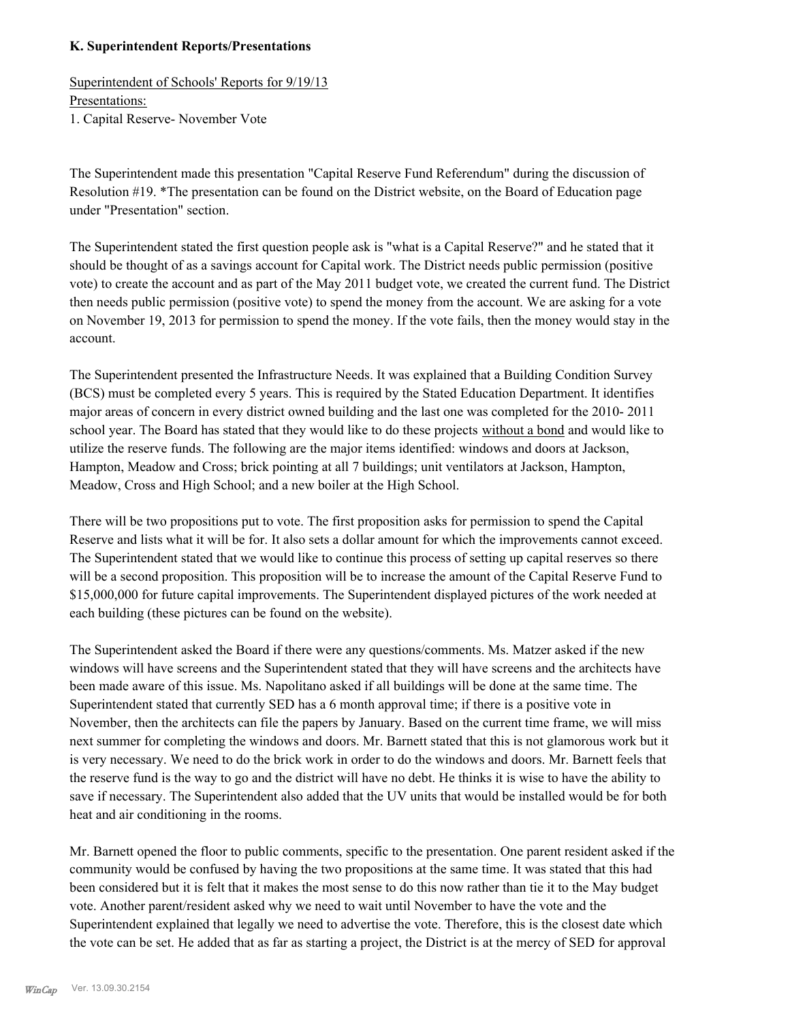### **K. Superintendent Reports/Presentations**

Superintendent of Schools' Reports for 9/19/13 Presentations: 1. Capital Reserve- November Vote

The Superintendent made this presentation "Capital Reserve Fund Referendum" during the discussion of Resolution #19. \*The presentation can be found on the District website, on the Board of Education page under "Presentation" section.

The Superintendent stated the first question people ask is "what is a Capital Reserve?" and he stated that it should be thought of as a savings account for Capital work. The District needs public permission (positive vote) to create the account and as part of the May 2011 budget vote, we created the current fund. The District then needs public permission (positive vote) to spend the money from the account. We are asking for a vote on November 19, 2013 for permission to spend the money. If the vote fails, then the money would stay in the account.

The Superintendent presented the Infrastructure Needs. It was explained that a Building Condition Survey (BCS) must be completed every 5 years. This is required by the Stated Education Department. It identifies major areas of concern in every district owned building and the last one was completed for the 2010- 2011 school year. The Board has stated that they would like to do these projects without a bond and would like to utilize the reserve funds. The following are the major items identified: windows and doors at Jackson, Hampton, Meadow and Cross; brick pointing at all 7 buildings; unit ventilators at Jackson, Hampton, Meadow, Cross and High School; and a new boiler at the High School.

There will be two propositions put to vote. The first proposition asks for permission to spend the Capital Reserve and lists what it will be for. It also sets a dollar amount for which the improvements cannot exceed. The Superintendent stated that we would like to continue this process of setting up capital reserves so there will be a second proposition. This proposition will be to increase the amount of the Capital Reserve Fund to \$15,000,000 for future capital improvements. The Superintendent displayed pictures of the work needed at each building (these pictures can be found on the website).

The Superintendent asked the Board if there were any questions/comments. Ms. Matzer asked if the new windows will have screens and the Superintendent stated that they will have screens and the architects have been made aware of this issue. Ms. Napolitano asked if all buildings will be done at the same time. The Superintendent stated that currently SED has a 6 month approval time; if there is a positive vote in November, then the architects can file the papers by January. Based on the current time frame, we will miss next summer for completing the windows and doors. Mr. Barnett stated that this is not glamorous work but it is very necessary. We need to do the brick work in order to do the windows and doors. Mr. Barnett feels that the reserve fund is the way to go and the district will have no debt. He thinks it is wise to have the ability to save if necessary. The Superintendent also added that the UV units that would be installed would be for both heat and air conditioning in the rooms.

Mr. Barnett opened the floor to public comments, specific to the presentation. One parent resident asked if the community would be confused by having the two propositions at the same time. It was stated that this had been considered but it is felt that it makes the most sense to do this now rather than tie it to the May budget vote. Another parent/resident asked why we need to wait until November to have the vote and the Superintendent explained that legally we need to advertise the vote. Therefore, this is the closest date which the vote can be set. He added that as far as starting a project, the District is at the mercy of SED for approval